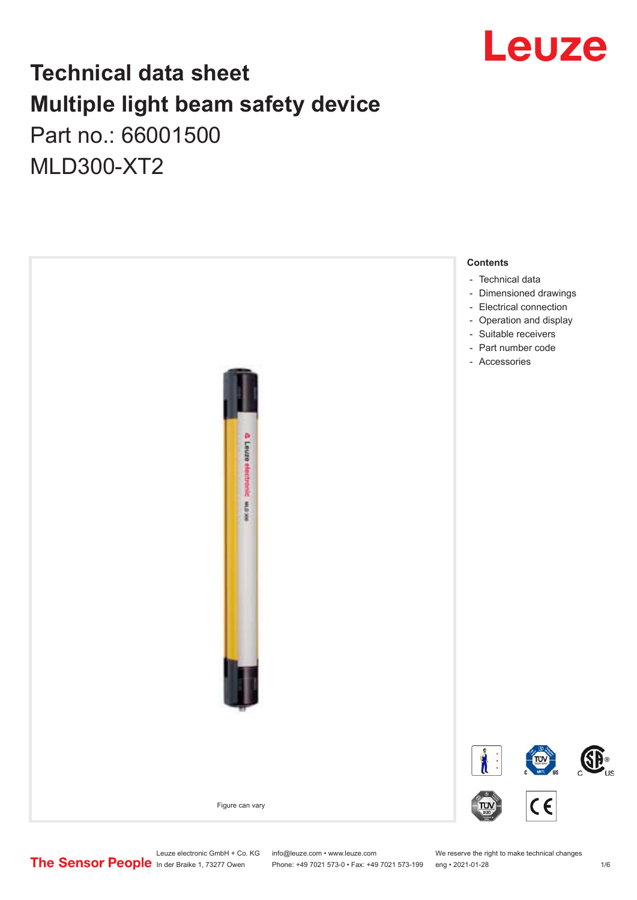

## **Technical data sheet Multiple light beam safety device**  Part no.: 66001500

MLD300-XT2



Phone: +49 7021 573-0 • Fax: +49 7021 573-199 eng • 2021-01-28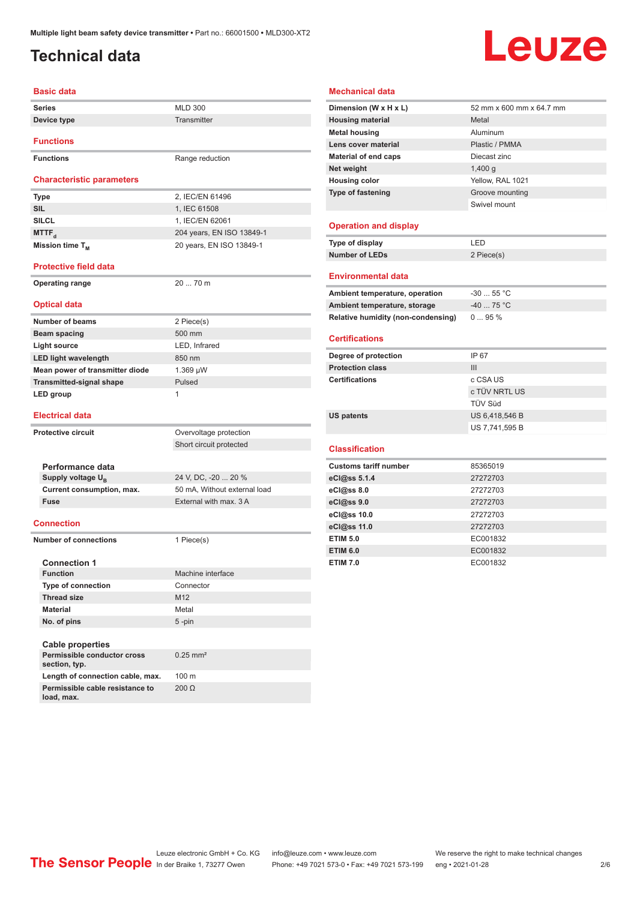### <span id="page-1-0"></span>**Technical data**

# Leuze

| <b>Basic data</b>                |                           |
|----------------------------------|---------------------------|
| <b>Series</b>                    | <b>MLD 300</b>            |
| Device type                      | Transmitter               |
| <b>Functions</b>                 |                           |
| <b>Functions</b>                 | Range reduction           |
| <b>Characteristic parameters</b> |                           |
| <b>Type</b>                      | 2, IEC/EN 61496           |
| <b>SIL</b>                       | 1, IEC 61508              |
| <b>SILCL</b>                     | 1, IEC/EN 62061           |
| MTTF <sub>a</sub>                | 204 years, EN ISO 13849-1 |
| Mission time $T_{M}$             | 20 years, EN ISO 13849-1  |
| <b>Protective field data</b>     |                           |
| <b>Operating range</b>           | $2070$ m                  |

#### **Optical data**

| <b>Number of beams</b>          | 2 Piece(s)    |
|---------------------------------|---------------|
| Beam spacing                    | 500 mm        |
| Light source                    | LED, Infrared |
| <b>LED light wavelength</b>     | 850 nm        |
| Mean power of transmitter diode | $1.369 \mu W$ |
| <b>Transmitted-signal shape</b> | Pulsed        |
| LED group                       | 1             |
|                                 |               |

#### **Electrical data**

**load, max.**

| <b>Protective circuit</b>                    | Overvoltage protection       |
|----------------------------------------------|------------------------------|
|                                              | Short circuit protected      |
|                                              |                              |
| Performance data                             |                              |
| Supply voltage U <sub>B</sub>                | 24 V, DC, -20  20 %          |
| Current consumption, max.                    | 50 mA, Without external load |
| <b>Fuse</b>                                  | External with max. 3 A       |
|                                              |                              |
| <b>Connection</b>                            |                              |
| Number of connections                        | 1 Piece(s)                   |
|                                              |                              |
| <b>Connection 1</b>                          |                              |
| <b>Function</b>                              | Machine interface            |
| Type of connection                           | Connector                    |
| <b>Thread size</b>                           | M <sub>12</sub>              |
| <b>Material</b>                              | Metal                        |
| No. of pins                                  | 5-pin                        |
|                                              |                              |
| <b>Cable properties</b>                      |                              |
| Permissible conductor cross<br>section, typ. | $0.25$ mm <sup>2</sup>       |
| Length of connection cable, max.             | $100 \text{ m}$              |
| Permissible cable resistance to              | $200 \Omega$                 |

#### **Mechanical data**

| Dimension (W x H x L)              | 52 mm x 600 mm x 64.7 mm |
|------------------------------------|--------------------------|
| <b>Housing material</b>            | Metal                    |
| <b>Metal housing</b>               | Aluminum                 |
| Lens cover material                | Plastic / PMMA           |
| <b>Material of end caps</b>        | Diecast zinc             |
| Net weight                         | 1,400q                   |
| <b>Housing color</b>               | Yellow, RAL 1021         |
| Type of fastening                  | Groove mounting          |
|                                    | Swivel mount             |
| <b>Operation and display</b>       |                          |
| Type of display                    | LED                      |
| <b>Number of LEDs</b>              | 2 Piece(s)               |
|                                    |                          |
| <b>Environmental data</b>          |                          |
| Ambient temperature, operation     | $-30$ 55 °C              |
| Ambient temperature, storage       | $-40$ 75 °C              |
| Relative humidity (non-condensing) | 095%                     |
| <b>Certifications</b>              |                          |
| Degree of protection               | IP 67                    |
| <b>Protection class</b>            | III                      |
|                                    |                          |
| <b>Certifications</b>              | c CSA US                 |
|                                    | c TÜV NRTL US            |
|                                    | TÜV Süd                  |
| <b>US patents</b>                  | US 6,418,546 B           |
|                                    | US 7,741,595 B           |
| <b>Classification</b>              |                          |
| <b>Customs tariff number</b>       | 85365019                 |
| eCl@ss 5.1.4                       | 27272703                 |
| eCl@ss 8.0                         | 27272703                 |
| eCl@ss 9.0                         | 27272703                 |
| eCl@ss 10.0                        | 27272703                 |
| eCl@ss 11.0                        | 27272703                 |
| <b>ETIM 5.0</b>                    | EC001832                 |
| <b>ETIM 6.0</b>                    | EC001832                 |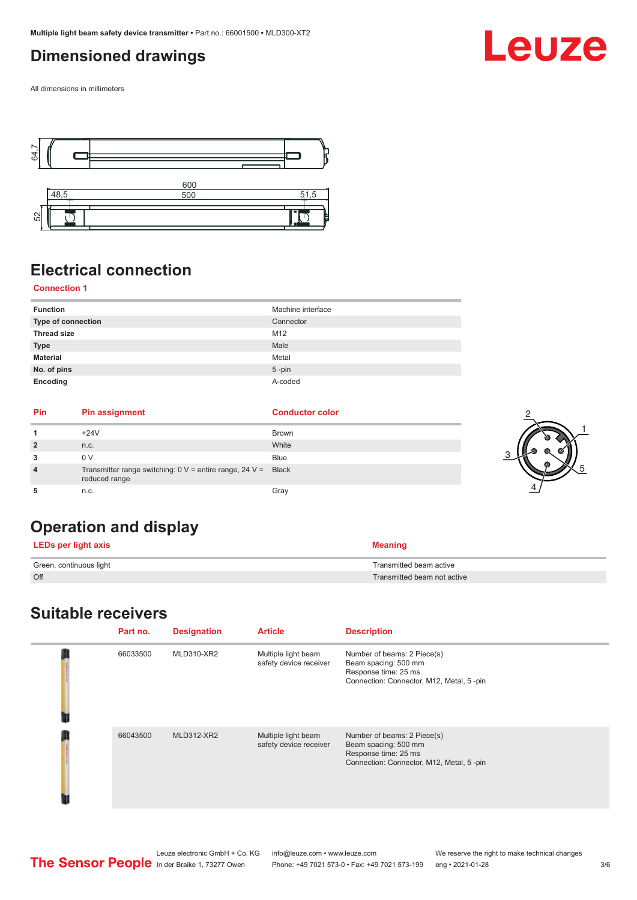### <span id="page-2-0"></span>**Dimensioned drawings**

All dimensions in millimeters



### **Electrical connection**

### **Connection 1**

| <b>Function</b>    | Machine interface |
|--------------------|-------------------|
| Type of connection | Connector         |
| <b>Thread size</b> | M12               |
| <b>Type</b>        | Male              |
| <b>Material</b>    | Metal             |
| No. of pins        | $5 - pin$         |
| Encoding           | A-coded           |

| <b>Pin</b> | <b>Pin assignment</b>                                                                    | <b>Conductor color</b> |  |
|------------|------------------------------------------------------------------------------------------|------------------------|--|
|            | $+24V$                                                                                   | Brown                  |  |
|            | n.c.                                                                                     | White                  |  |
|            | 0 V                                                                                      | <b>Blue</b>            |  |
|            | Transmitter range switching: $0 \vee$ = entire range, $24 \vee$ = Black<br>reduced range |                        |  |
|            | n.c.                                                                                     | Grav                   |  |

### **Operation and display**

| <b>LEDs per light axis</b> | <b>Meaning</b>              |
|----------------------------|-----------------------------|
| Green, continuous light    | Transmitted beam active     |
| Off                        | Transmitted beam not active |

### **Suitable receivers**

| Part no. | <b>Designation</b> | <b>Article</b>                                | <b>Description</b>                                                                                                      |
|----------|--------------------|-----------------------------------------------|-------------------------------------------------------------------------------------------------------------------------|
| 66033500 | MLD310-XR2         | Multiple light beam<br>safety device receiver | Number of beams: 2 Piece(s)<br>Beam spacing: 500 mm<br>Response time: 25 ms<br>Connection: Connector, M12, Metal, 5-pin |
| 66043500 | <b>MLD312-XR2</b>  | Multiple light beam<br>safety device receiver | Number of beams: 2 Piece(s)<br>Beam spacing: 500 mm<br>Response time: 25 ms<br>Connection: Connector, M12, Metal, 5-pin |

#### Leuze electronic GmbH + Co. KG info@leuze.com • www.leuze.com We reserve the right to make technical changes<br>
The Sensor People in der Braike 1, 73277 Owen Phone: +49 7021 573-0 • Fax: +49 7021 573-199 eng • 2021-01-28 Phone: +49 7021 573-0 • Fax: +49 7021 573-199 eng • 2021-01-28 3/6

Leuze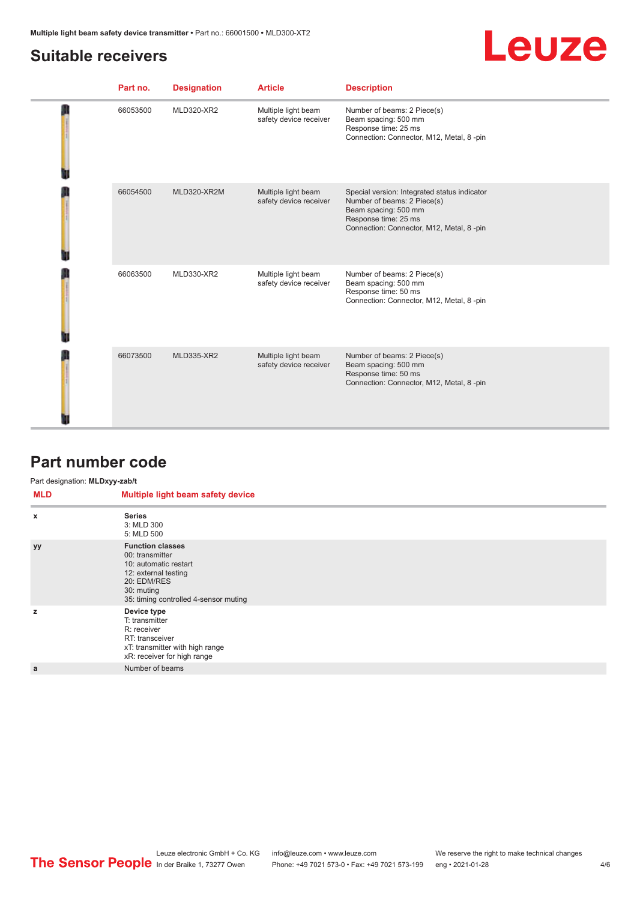### <span id="page-3-0"></span>**Suitable receivers**

## Leuze

| 66053500<br>MLD320-XR2<br>Multiple light beam<br>Number of beams: 2 Piece(s)<br>safety device receiver<br>Beam spacing: 500 mm<br>Response time: 25 ms<br>Connection: Connector, M12, Metal, 8-pin<br>66054500<br>MLD320-XR2M<br>Multiple light beam<br>Special version: Integrated status indicator<br>safety device receiver<br>Number of beams: 2 Piece(s)<br>Beam spacing: 500 mm<br>Response time: 25 ms<br>Connection: Connector, M12, Metal, 8-pin<br>66063500<br>MLD330-XR2<br>Number of beams: 2 Piece(s)<br>Multiple light beam<br>safety device receiver<br>Beam spacing: 500 mm<br>Response time: 50 ms<br>Connection: Connector, M12, Metal, 8-pin<br>Number of beams: 2 Piece(s)<br>66073500<br><b>MLD335-XR2</b><br>Multiple light beam<br>safety device receiver<br>Beam spacing: 500 mm<br>Response time: 50 ms<br>Connection: Connector, M12, Metal, 8-pin |  | Part no. | <b>Designation</b> | <b>Article</b> | <b>Description</b> |
|------------------------------------------------------------------------------------------------------------------------------------------------------------------------------------------------------------------------------------------------------------------------------------------------------------------------------------------------------------------------------------------------------------------------------------------------------------------------------------------------------------------------------------------------------------------------------------------------------------------------------------------------------------------------------------------------------------------------------------------------------------------------------------------------------------------------------------------------------------------------------|--|----------|--------------------|----------------|--------------------|
|                                                                                                                                                                                                                                                                                                                                                                                                                                                                                                                                                                                                                                                                                                                                                                                                                                                                              |  |          |                    |                |                    |
|                                                                                                                                                                                                                                                                                                                                                                                                                                                                                                                                                                                                                                                                                                                                                                                                                                                                              |  |          |                    |                |                    |
|                                                                                                                                                                                                                                                                                                                                                                                                                                                                                                                                                                                                                                                                                                                                                                                                                                                                              |  |          |                    |                |                    |
|                                                                                                                                                                                                                                                                                                                                                                                                                                                                                                                                                                                                                                                                                                                                                                                                                                                                              |  |          |                    |                |                    |

### **Part number code**

#### Part designation: **MLDxyy-zab/t**

| <b>MLD</b> | Multiple light beam safety device                                                                                                                                 |
|------------|-------------------------------------------------------------------------------------------------------------------------------------------------------------------|
| X          | <b>Series</b><br>3: MLD 300<br>5: MLD 500                                                                                                                         |
| <b>yy</b>  | <b>Function classes</b><br>00: transmitter<br>10: automatic restart<br>12: external testing<br>20: EDM/RES<br>30: muting<br>35: timing controlled 4-sensor muting |
| z          | Device type<br>T: transmitter<br>R: receiver<br>RT: transceiver<br>xT: transmitter with high range<br>xR: receiver for high range                                 |
| a          | Number of beams                                                                                                                                                   |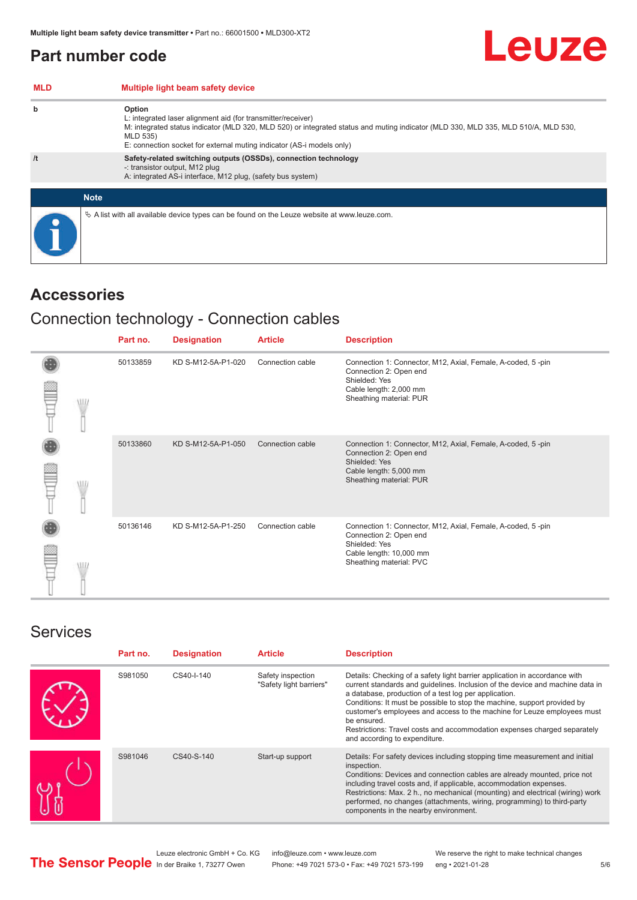### <span id="page-4-0"></span>**Part number code**

| <b>MLD</b> | Multiple light beam safety device                                                                                                                                                                                                                                                                 |
|------------|---------------------------------------------------------------------------------------------------------------------------------------------------------------------------------------------------------------------------------------------------------------------------------------------------|
| b          | Option<br>L: integrated laser alignment aid (for transmitter/receiver)<br>M: integrated status indicator (MLD 320, MLD 520) or integrated status and muting indicator (MLD 330, MLD 335, MLD 510/A, MLD 530,<br>MLD 535)<br>E: connection socket for external muting indicator (AS-i models only) |
| /t         | Safety-related switching outputs (OSSDs), connection technology<br>-: transistor output, M12 plug<br>A: integrated AS-i interface, M12 plug, (safety bus system)                                                                                                                                  |
|            | <b>Note</b>                                                                                                                                                                                                                                                                                       |
|            | $\&$ A list with all available device types can be found on the Leuze website at www.leuze.com.                                                                                                                                                                                                   |

### **Accessories**

### Connection technology - Connection cables

|            | Part no. | <b>Designation</b> | <b>Article</b>   | <b>Description</b>                                                                                                                                           |
|------------|----------|--------------------|------------------|--------------------------------------------------------------------------------------------------------------------------------------------------------------|
| <b>MIL</b> | 50133859 | KD S-M12-5A-P1-020 | Connection cable | Connection 1: Connector, M12, Axial, Female, A-coded, 5-pin<br>Connection 2: Open end<br>Shielded: Yes<br>Cable length: 2,000 mm<br>Sheathing material: PUR  |
|            | 50133860 | KD S-M12-5A-P1-050 | Connection cable | Connection 1: Connector, M12, Axial, Female, A-coded, 5-pin<br>Connection 2: Open end<br>Shielded: Yes<br>Cable length: 5,000 mm<br>Sheathing material: PUR  |
| W          | 50136146 | KD S-M12-5A-P1-250 | Connection cable | Connection 1: Connector, M12, Axial, Female, A-coded, 5-pin<br>Connection 2: Open end<br>Shielded: Yes<br>Cable length: 10,000 mm<br>Sheathing material: PVC |

### Services

| Part no. | <b>Designation</b> | <b>Article</b>                               | <b>Description</b>                                                                                                                                                                                                                                                                                                                                                                                                                                                                                      |
|----------|--------------------|----------------------------------------------|---------------------------------------------------------------------------------------------------------------------------------------------------------------------------------------------------------------------------------------------------------------------------------------------------------------------------------------------------------------------------------------------------------------------------------------------------------------------------------------------------------|
| S981050  | CS40-I-140         | Safety inspection<br>"Safety light barriers" | Details: Checking of a safety light barrier application in accordance with<br>current standards and guidelines. Inclusion of the device and machine data in<br>a database, production of a test log per application.<br>Conditions: It must be possible to stop the machine, support provided by<br>customer's employees and access to the machine for Leuze employees must<br>be ensured.<br>Restrictions: Travel costs and accommodation expenses charged separately<br>and according to expenditure. |
| S981046  | CS40-S-140         | Start-up support                             | Details: For safety devices including stopping time measurement and initial<br>inspection.<br>Conditions: Devices and connection cables are already mounted, price not<br>including travel costs and, if applicable, accommodation expenses.<br>Restrictions: Max. 2 h., no mechanical (mounting) and electrical (wiring) work<br>performed, no changes (attachments, wiring, programming) to third-party<br>components in the nearby environment.                                                      |